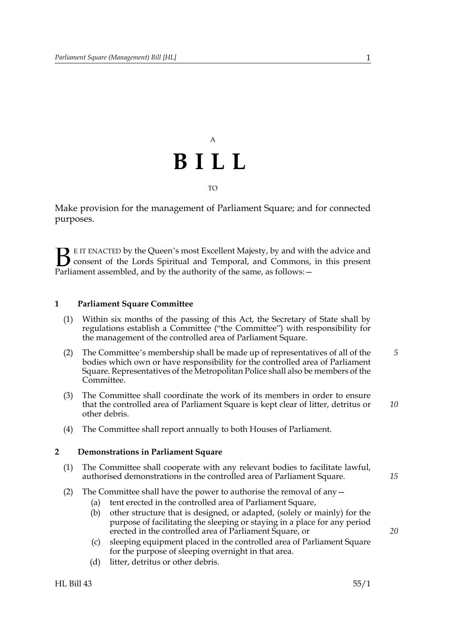# A **BILL**

TO

Make provision for the management of Parliament Square; and for connected purposes.

E IT ENACTED by the Queen's most Excellent Majesty, by and with the advice and consent of the Lords Spiritual and Temporal, and Commons, in this present **B** E IT ENACTED by the Queen's most Excellent Majesty, by and with consent of the Lords Spiritual and Temporal, and Commons, Parliament assembled, and by the authority of the same, as follows:  $-$ 

### **1 Parliament Square Committee**

- (1) Within six months of the passing of this Act, the Secretary of State shall by regulations establish a Committee ("the Committee") with responsibility for the management of the controlled area of Parliament Square.
- (2) The Committee's membership shall be made up of representatives of all of the bodies which own or have responsibility for the controlled area of Parliament Square. Representatives of the Metropolitan Police shall also be members of the Committee. *5*
- (3) The Committee shall coordinate the work of its members in order to ensure that the controlled area of Parliament Square is kept clear of litter, detritus or other debris. *10*
- (4) The Committee shall report annually to both Houses of Parliament.

### **2 Demonstrations in Parliament Square**

- (1) The Committee shall cooperate with any relevant bodies to facilitate lawful, authorised demonstrations in the controlled area of Parliament Square.
- (2) The Committee shall have the power to authorise the removal of any  $-$ 
	- (a) tent erected in the controlled area of Parliament Square,
	- (b) other structure that is designed, or adapted, (solely or mainly) for the purpose of facilitating the sleeping or staying in a place for any period erected in the controlled area of Parliament Square, or
	- (c) sleeping equipment placed in the controlled area of Parliament Square for the purpose of sleeping overnight in that area.
	- (d) litter, detritus or other debris.

*15*

*20*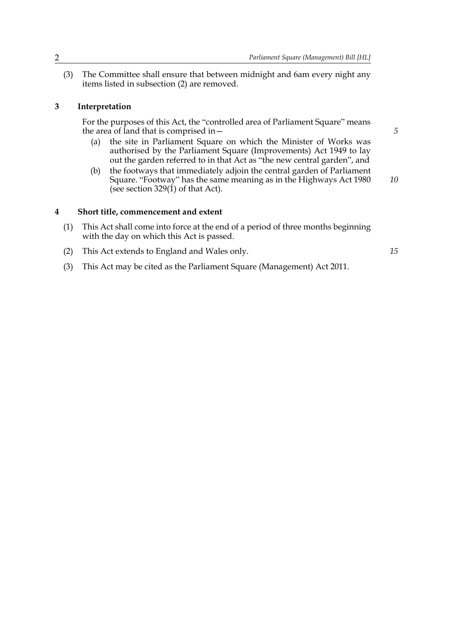(3) The Committee shall ensure that between midnight and 6am every night any items listed in subsection (2) are removed.

#### **3 Interpretation**

For the purposes of this Act, the "controlled area of Parliament Square" means the area of land that is comprised in—

- (a) the site in Parliament Square on which the Minister of Works was authorised by the Parliament Square (Improvements) Act 1949 to lay out the garden referred to in that Act as "the new central garden", and
- (b) the footways that immediately adjoin the central garden of Parliament Square. "Footway" has the same meaning as in the Highways Act 1980 (see section  $329(1)$  of that Act). *10*

#### **4 Short title, commencement and extent**

- (1) This Act shall come into force at the end of a period of three months beginning with the day on which this Act is passed.
- (2) This Act extends to England and Wales only.

*15*

*5*

(3) This Act may be cited as the Parliament Square (Management) Act 2011.